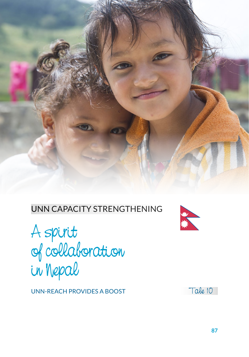

### UNN CAPACITY STRENGTHENING



UNN-REACH PROVIDES A BOOST



Tale 10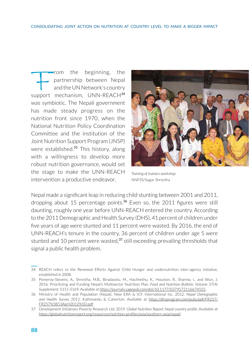From the beginning, the partnership between Nepal<br>and the UNNetwork's country<br>support mechanism, UNN-REACH<sup>34</sup> partnership between Nepal and the UN Network's country was symbiotic. The Nepali government has made steady progress on the nutrition front since 1970, when the National Nutrition Policy Coordination Committee and the institution of the Joint Nutrition Support Program (JNSP) were established.<sup>35</sup> This history, along with a willingness to develop more robust nutrition governance, would set the stage to make the UNN-REACH intervention a productive endeavor.



*Training of trainers workshop*  NNFSS/Sagar Shrestha

Nepal made a significant leap in reducing child stunting between 2001 and 2011, dropping about 15 percentage points.<sup>36</sup> Even so, the 2011 figures were still daunting, roughly one year before UNN-REACH entered the country. According to the 2011 Demographic and Health Survey (DHS), 41 percent of children under five years of age were stunted and 11 percent were wasted. By 2016, the end of UNN-REACH's tenure in the country, 36 percent of children under age 5 were stunted and 10 percent were wasted,<sup>37</sup> still exceeding prevailing thresholds that signal a public health problem.

<sup>34</sup> REACH refers to the Renewed Efforts Against Child Hunger and undernutrition inter-agency initiative, established in 2008.

<sup>35</sup> Pomeroy-Stevens, A., Shrestha, M.B., Biradavolu, M., Hachhethu, K., Houston, R., Sharma, I., and Wun, J. 2016. Prioritizing and Funding Nepal's Multisector Nutrition Plan. *Food and Nutrition Bulletin*, Volume 37(4) Supplement: S151-S169. Available at https://journals.sagepub.com/doi/10.1177/0379572116674555.

<sup>36</sup> Ministry of Health and Population (Nepal), New ERA & ICF International Inc. 2012. *Nepal Demographic and Health Survey 2011*. Kathmandu & Calverton. Available at [https://dhsprogram.com/pubs/pdf/FR257/](https://dhsprogram.com/pubs/pdf/FR257/FR257%5B13April2012%5D.pdf) [FR257%5B13April2012%5D.pdf](https://dhsprogram.com/pubs/pdf/FR257/FR257%5B13April2012%5D.pdf).

<sup>37</sup> Development Initiatives Poverty Research Ltd. 2019. *Global Nutrition Report; Nepal country profile*. Available at [https://globalnutritionreport.org/resources/nutrition-profiles/asia/southern-asia/nepal/.](https://globalnutritionreport.org/resources/nutrition-profiles/asia/southern-asia/nepal/)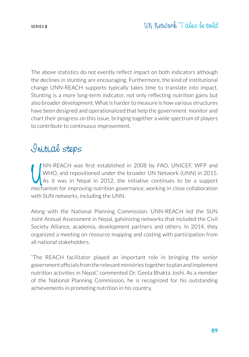The above statistics do not evently reflect impact on both indicators although the declines in stunting are encouraging. Furthermore, the kind of institutional change UNN-REACH supports typically takes time to translate into impact. Stunting is a more long-term indicator, not only reflecting nutrition gains but also broader development. What is harder to measure is how various structures have been designed and operationalized that help the government monitor and chart their progress on this issue, bringing together a wide spectrum of players to contribute to continuous improvement.

## Initial steps

IM-REACH was first established in 2008 by FAO, UNICEF, WFP and WHO, and repositioned under the broader UN Network (UNN) in 2015.<br>As it was in Nepal in 2012, the initiative continues to be a support mechanism for improving NN-REACH was first established in 2008 by FAO, UNICEF, WFP and WHO, and repositioned under the broader UN Network (UNN) in 2015. As it was in Nepal in 2012, the initiative continues to be a support with SUN networks, including the UNN.

Along with the National Planning Commission, UNN-REACH led the SUN Joint Annual Assessment in Nepal, galvinizing networks that included the Civil Society Alliance, academia, development partners and others. In 2014, they organized a meeting on resource mapping and costing with participation from all national stakeholders.

"The REACH facilitator played an important role in bringing the senior government officials from the relevant ministries together to plan and implement nutrition activities in Nepal," commented Dr. Geeta Bhakta Joshi. As a member of the National Planning Commission, he is recognized for his outstanding achievements in promoting nutrition in his country.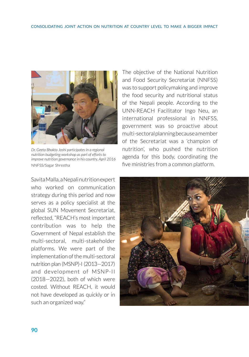

*Dr. Geeta Bhakta Joshi participates in a regional nutrition budgeting workshop as part of efforts to improve nutrition governance in his country, April 2016* NNFSS/Sagar Shrestha

Savita Malla, a Nepali nutrition expert who worked on communication strategy during this period and now serves as a policy specialist at the global SUN Movement Secretariat, reflected, "REACH's most important contribution was to help the Government of Nepal establish the multi-sectoral, multi-stakeholder platforms. We were part of the implementation of the multi-sectoral nutrition plan (MSNP)-I (2013—2017) and development of MSNP-II (2018—2022), both of which were costed. Without REACH, it would not have developed as quickly or in such an organized way."

The objective of the National Nutrition and Food Security Secretariat (NNFSS) was to support policymaking and improve the food security and nutritional status of the Nepali people. According to the UNN-REACH Facilitator Ingo Neu, an international professional in NNFSS, government was so proactive about multi-sectoral planning because a member of the Secretariat was a 'champion of nutrition', who pushed the nutrition agenda for this body, coordinating the five ministries from a common platform.

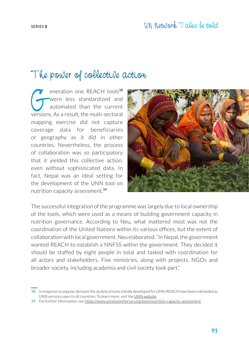# The power of collective action

eneration one REACH tools<sup>38</sup><br>were less standardized and<br>automated than the current<br>versions As a result the multi-sectoral were less standardized and automated than the current versions. As a result, the multi-sectoral mapping exercise did not capture coverage data for beneficiaries or geography as it did in other countries. Nevertheless, the process of collaboration was so participatory that it yielded this collective action, even without sophisticated data. In fact, Nepal was an ideal setting for the development of the UNN tool on nutrition capacity assessment.<sup>39</sup>



The successful integration of the programme was largely due to local ownership of the tools, which were used as a means of building government capacity in nutrition governance. According to Neu, what mattered most was not the coordination of the United Nations within its various offices, but the extent of collaboration with local government. Neu elaborated, "In Nepal, the government wanted REACH to establish a NNFSS within the government. They decided it should be staffed by eight people in total and tasked with coordination for all actors and stakeholders. Five ministries, along with projects, NGOs and broader society, including academia and civil society took part."

<sup>38</sup> In response to popular demand, the analytical tools initially developed for UNN-REACH have been rebranded as UNN services open to all countries. To learn more, visit the [UNN website.](https://www.unnetworkforsun.org/unn-analytics)

<sup>39</sup> For further information, see https://www.unnetworkforsun.org/tools/nutrition-capacity-assessment.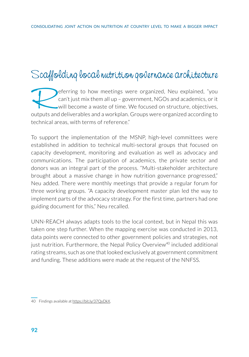# Scaffolding local nutrition governance architecture

eferring to how meetings were organized, Neu explained, "you can't just mix them all up – government, NGOs and academics, or it will become a waste of time. We focused on structure, objectives, outputs and deliverables and a workplan. Groups were organized according to technical areas, with terms of reference."

To support the implementation of the MSNP, high-level committees were established in addition to technical multi-sectoral groups that focused on capacity development, monitoring and evaluation as well as advocacy and communications. The participation of academics, the private sector and donors was an integral part of the process. "Multi-stakeholder architecture brought about a massive change in how nutrition governance progressed," Neu added. There were monthly meetings that provide a regular forum for three working groups. "A capacity development master plan led the way to implement parts of the advocacy strategy. For the first time, partners had one guiding document for this," Neu recalled.

UNN-REACH always adapts tools to the local context, but in Nepal this was taken one step further. When the mapping exercise was conducted in 2013, data points were connected to other government policies and strategies, not just nutrition. Furthermore, the Nepal Policy Overview<sup>40</sup> included additional rating streams, such as one that looked exclusively at government commitment and funding. These additions were made at the request of the NNFSS.

<sup>40</sup> Findings available at https://bit.ly/37QyDkX.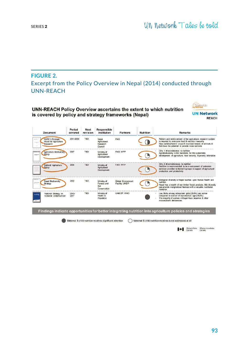#### **FIGURE 2.** Excerpt from the Policy Overview in Nepal (2014) conducted through UNN-REACH

#### UNN-REACH Policy Overview ascertains the extent to which nutrition is covered by policy and strategy frameworks (Nepal)



| <b>Document</b>                                                                           | Period<br>covered | Next<br>revision | Responsible<br>institution                         | <b>Partners</b>                      | <b>Nutrition</b> | <b>Remarks</b>                                                                                                                                                                                                                        |
|-------------------------------------------------------------------------------------------|-------------------|------------------|----------------------------------------------------|--------------------------------------|------------------|---------------------------------------------------------------------------------------------------------------------------------------------------------------------------------------------------------------------------------------|
| NARC's Strategic<br>crainer<br>Vision for Agriculture<br>wearen<br>Research               | 2011-2030         | <b>TBD</b>       | Nepal<br>Agricultural<br>Research<br>Council       | <b>FAO</b>                           |                  | Reform and reinforcement of the agricultural research system<br>is required to overcome food & nutrition insecurity<br>New varieties/hybrid crops & improved breeds of animals &<br>fish have the potential to provide more nutrients |
| <b>Agriculture Biodiversity</b><br>Policy<br>megani                                       | 2007              | <b>TBD</b>       | Ministry of<br>Agricultural<br>Development         | FAO, WFP                             |                  | Only 1 direct reference to nutrition<br>Agrobiodiversity is the backbone for the sustainable<br>development of agriculture, food security, & poverty alleviation                                                                      |
| National Agriculture<br>Policy                                                            | 2004              | <b>TBD</b>       | Ministry of<br>Agricultural<br>Development         | FAO. WFP                             |                  | Only 2 direct references to nutrition<br>Nutrition is recommended to be a component of extension<br>services provided to farmer's groups in support of agricultural<br>production and productivity                                    |
| <b>A MAY CAY</b><br><b>Nepal Biodiversity</b><br><b>JANUARY ALL</b><br>Strategy<br>$\sim$ | 2002              | TBD              | Ministry of<br>Forests and<br>Soll<br>Conservation | Global Environment<br>Facility, UNDP |                  | Biological diversity in Nepal touches upon human health and<br>nutrition<br>Nepal has a wealth of non-timber forest products, this diversity<br>can provide marginalised farmers with a valuable nutritional<br>resource              |
| National Strategy on<br>Maternal Undernutrition                                           | 2013-<br>2017     | TBD              | Ministry of<br>Health &<br>Population              | UNICEF. WHO                          |                  | Low BMIs among adolescent girls (25.8%) are worse<br>compared to women of reproductive age (18.2%)<br>The majority of women in Nepal have anaemia & other<br>micronutrient deficiencies                                               |

Findings indicate opportunities for better integrating nutrition into agriculture policies and strategies

Maternal & child nutrition receives significant attention <br>
Maternal & child nutrition receives is not addressed at all

Global Affairs Affaires mondiales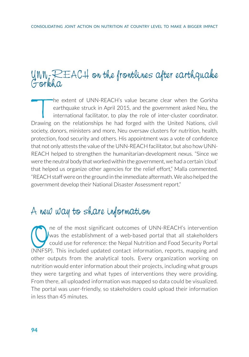# UNN-REACH on the frontlines after earthquake Gorkha

The extent of UNN-REACH's value became clear when the Gorkha<br>earthquake struck in April 2015, and the government asked Neu, the<br>international facilitator, to play the role of inter-cluster coordinator.<br>Drawing on the relat earthquake struck in April 2015, and the government asked Neu, the international facilitator, to play the role of inter-cluster coordinator. Drawing on the relationships he had forged with the United Nations, civil society, donors, ministers and more, Neu oversaw clusters for nutrition, health, protection, food security and others. His appointment was a vote of confidence that not only attests the value of the UNN-REACH facilitator, but also how UNN-REACH helped to strengthen the humanitarian-development nexus. "Since we were the neutral body that worked within the government, we had a certain 'clout' that helped us organize other agencies for the relief effort," Malla commented. "REACH staff were on the ground in the immediate aftermath. We also helped the government develop their National Disaster Assessment report."

## A new way to share information

The of the most significant outcomes of UNN-REACH's intervention<br>was the establishment of a web-based portal that all stakeholders<br>could use for reference: the Nepal Nutrition and Food Security Portal<br>(NNFSP). This include was the establishment of a web-based portal that all stakeholders could use for reference: the Nepal Nutrition and Food Security Portal (NNFSP). This included updated contact information, reports, mapping and other outputs from the analytical tools. Every organization working on nutrition would enter information about their projects, including what groups they were targeting and what types of interventions they were providing. From there, all uploaded information was mapped so data could be visualized. The portal was user-friendly, so stakeholders could upload their information in less than 45 minutes.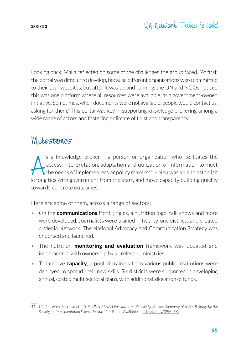Looking back, Malla reflected on some of the challenges the group faced. "At first, the portal was difficult to develop, because different organizations were committed to their own websites, but after it was up and running, the UN and NGOs noticed this was one platform where all resources were available, as a government-owned initiative. Sometimes, when documents were not available, people would contact us, asking for them." This portal was key in supporting knowledge brokering among a wide range of actors and fostering a climate of trust and transparency.

## Milestones

s a knowledge broker - a person or organization who facilitates the access, interpretation, adaptation and utilization of information to meet the needs of implementers or policy makers<sup>41</sup> - Neu was able to establish stro s a knowledge broker – a person or organization who facilitates the access, interpretation, adaptation and utilization of information to meet  $\chi$  the needs of implementers or policy makers<sup>41</sup> - Neu was able to establish towards concrete outcomes.

Here are some of them, across a range of sectors:

- On the **communications** front, jingles, a nutrition logo, talk shows and more were developed. Journalists were trained in twenty-one districts and created a Media Network. The National Advocacy and Communication Strategy was endorsed and launched.
- The nutrition **monitoring and evaluation** framework was updated and implemented with ownership by all relevant ministries.
- To improve **capacity**, a pool of trainers from various public institutions were deployed to spread their new skills. Six districts were supported in developing annual, costed multi-sectoral plans, with additional allocation of funds.

<sup>41</sup> UN Network Secretariat. 2019. *UNN-REACH Facilitator as Knowledge Broker: Summary of a 2018 Study by the Society for Implementation Science in Nutrition*. Rome. Available at https://bit.ly/39Ms5Xl.